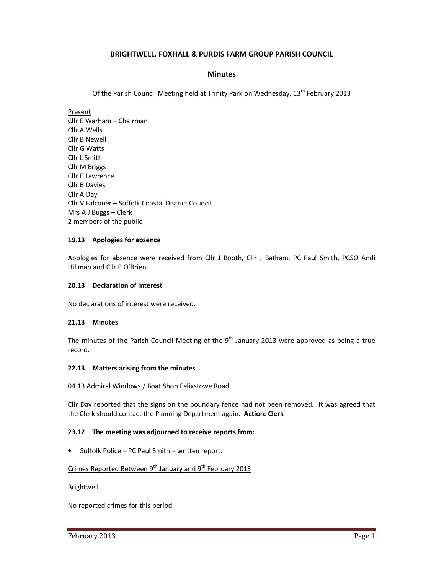# **BRIGHTWELL, FOXHALL & PURDIS FARM GROUP PARISH COUNCIL**

## **Minutes**

Of the Parish Council Meeting held at Trinity Park on Wednesday, 13<sup>th</sup> February 2013

Present

Cllr E Warham – Chairman Cllr A Wells Cllr B Newell Cllr G Watts Cllr L Smith Cllr M Briggs Cllr E Lawrence Cllr B Davies Cllr A Day Cllr V Falconer – Suffolk Coastal District Council Mrs A J Buggs – Clerk 2 members of the public

#### **19.13 Apologies for absence**

Apologies for absence were received from Cllr J Booth, Cllr J Batham, PC Paul Smith, PCSO Andi Hillman and Cllr P O'Brien.

### **20.13 Declaration of interest**

No declarations of interest were received.

#### **21.13 Minutes**

The minutes of the Parish Council Meeting of the  $9<sup>th</sup>$  January 2013 were approved as being a true record.

#### **22.13 Matters arising from the minutes**

#### 04.13 Admiral Windows / Boat Shop Felixstowe Road

Cllr Day reported that the signs on the boundary fence had not been removed. It was agreed that the Clerk should contact the Planning Department again. **Action: Clerk** 

#### **23.12 The meeting was adjourned to receive reports from:**

• Suffolk Police – PC Paul Smith – written report.

# Crimes Reported Between  $9^{th}$  January and  $9^{th}$  February 2013

#### Brightwell

No reported crimes for this period.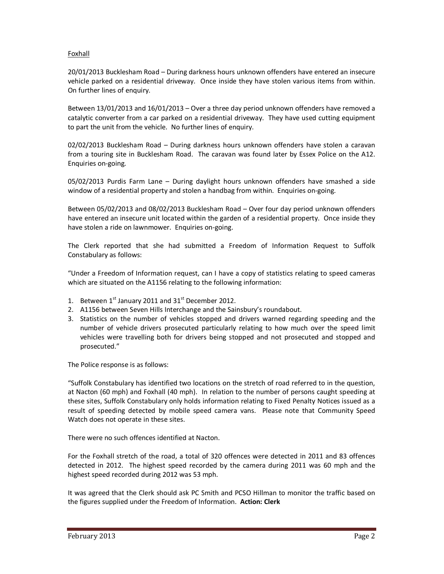### Foxhall

20/01/2013 Bucklesham Road – During darkness hours unknown offenders have entered an insecure vehicle parked on a residential driveway. Once inside they have stolen various items from within. On further lines of enquiry.

Between 13/01/2013 and 16/01/2013 – Over a three day period unknown offenders have removed a catalytic converter from a car parked on a residential driveway. They have used cutting equipment to part the unit from the vehicle. No further lines of enquiry.

02/02/2013 Bucklesham Road – During darkness hours unknown offenders have stolen a caravan from a touring site in Bucklesham Road. The caravan was found later by Essex Police on the A12. Enquiries on-going.

05/02/2013 Purdis Farm Lane – During daylight hours unknown offenders have smashed a side window of a residential property and stolen a handbag from within. Enquiries on-going.

Between 05/02/2013 and 08/02/2013 Bucklesham Road – Over four day period unknown offenders have entered an insecure unit located within the garden of a residential property. Once inside they have stolen a ride on lawnmower. Enquiries on-going.

The Clerk reported that she had submitted a Freedom of Information Request to Suffolk Constabulary as follows:

"Under a Freedom of Information request, can I have a copy of statistics relating to speed cameras which are situated on the A1156 relating to the following information:

- 1. Between  $1^{st}$  January 2011 and  $31^{st}$  December 2012.
- 2. A1156 between Seven Hills Interchange and the Sainsbury's roundabout.
- 3. Statistics on the number of vehicles stopped and drivers warned regarding speeding and the number of vehicle drivers prosecuted particularly relating to how much over the speed limit vehicles were travelling both for drivers being stopped and not prosecuted and stopped and prosecuted."

The Police response is as follows:

"Suffolk Constabulary has identified two locations on the stretch of road referred to in the question, at Nacton (60 mph) and Foxhall (40 mph). In relation to the number of persons caught speeding at these sites, Suffolk Constabulary only holds information relating to Fixed Penalty Notices issued as a result of speeding detected by mobile speed camera vans. Please note that Community Speed Watch does not operate in these sites.

There were no such offences identified at Nacton.

For the Foxhall stretch of the road, a total of 320 offences were detected in 2011 and 83 offences detected in 2012. The highest speed recorded by the camera during 2011 was 60 mph and the highest speed recorded during 2012 was 53 mph.

It was agreed that the Clerk should ask PC Smith and PCSO Hillman to monitor the traffic based on the figures supplied under the Freedom of Information. **Action: Clerk**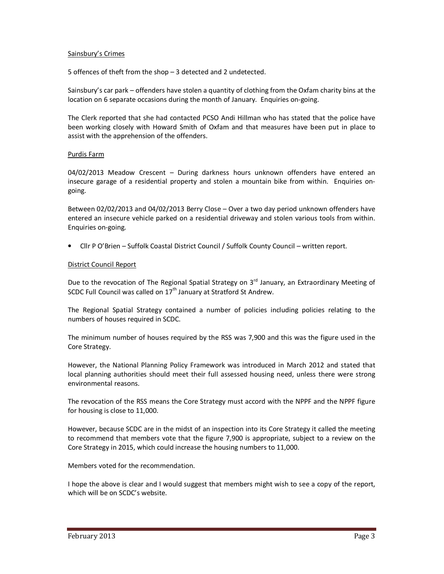### Sainsbury's Crimes

5 offences of theft from the shop – 3 detected and 2 undetected.

Sainsbury's car park – offenders have stolen a quantity of clothing from the Oxfam charity bins at the location on 6 separate occasions during the month of January. Enquiries on-going.

The Clerk reported that she had contacted PCSO Andi Hillman who has stated that the police have been working closely with Howard Smith of Oxfam and that measures have been put in place to assist with the apprehension of the offenders.

### Purdis Farm

04/02/2013 Meadow Crescent – During darkness hours unknown offenders have entered an insecure garage of a residential property and stolen a mountain bike from within. Enquiries ongoing.

Between 02/02/2013 and 04/02/2013 Berry Close – Over a two day period unknown offenders have entered an insecure vehicle parked on a residential driveway and stolen various tools from within. Enquiries on-going.

• Cllr P O'Brien – Suffolk Coastal District Council / Suffolk County Council – written report.

#### District Council Report

Due to the revocation of The Regional Spatial Strategy on 3<sup>rd</sup> January, an Extraordinary Meeting of SCDC Full Council was called on 17<sup>th</sup> January at Stratford St Andrew.

The Regional Spatial Strategy contained a number of policies including policies relating to the numbers of houses required in SCDC.

The minimum number of houses required by the RSS was 7,900 and this was the figure used in the Core Strategy.

However, the National Planning Policy Framework was introduced in March 2012 and stated that local planning authorities should meet their full assessed housing need, unless there were strong environmental reasons.

The revocation of the RSS means the Core Strategy must accord with the NPPF and the NPPF figure for housing is close to 11,000.

However, because SCDC are in the midst of an inspection into its Core Strategy it called the meeting to recommend that members vote that the figure 7,900 is appropriate, subject to a review on the Core Strategy in 2015, which could increase the housing numbers to 11,000.

Members voted for the recommendation.

I hope the above is clear and I would suggest that members might wish to see a copy of the report, which will be on SCDC's website.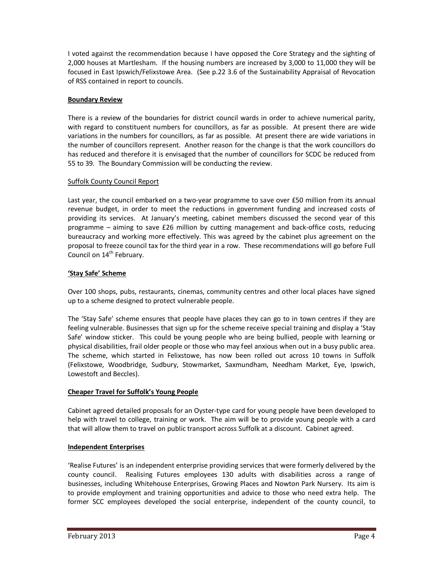I voted against the recommendation because I have opposed the Core Strategy and the sighting of 2,000 houses at Martlesham. If the housing numbers are increased by 3,000 to 11,000 they will be focused in East Ipswich/Felixstowe Area. (See p.22 3.6 of the Sustainability Appraisal of Revocation of RSS contained in report to councils.

# **Boundary Review**

There is a review of the boundaries for district council wards in order to achieve numerical parity, with regard to constituent numbers for councillors, as far as possible. At present there are wide variations in the numbers for councillors, as far as possible. At present there are wide variations in the number of councillors represent. Another reason for the change is that the work councillors do has reduced and therefore it is envisaged that the number of councillors for SCDC be reduced from 55 to 39. The Boundary Commission will be conducting the review.

## Suffolk County Council Report

Last year, the council embarked on a two-year programme to save over £50 million from its annual revenue budget, in order to meet the reductions in government funding and increased costs of providing its services. At January's meeting, cabinet members discussed the second year of this programme – aiming to save £26 million by cutting management and back-office costs, reducing bureaucracy and working more effectively. This was agreed by the cabinet plus agreement on the proposal to freeze council tax for the third year in a row. These recommendations will go before Full Council on 14<sup>th</sup> February.

# **'Stay Safe' Scheme**

Over 100 shops, pubs, restaurants, cinemas, community centres and other local places have signed up to a scheme designed to protect vulnerable people.

The 'Stay Safe' scheme ensures that people have places they can go to in town centres if they are feeling vulnerable. Businesses that sign up for the scheme receive special training and display a 'Stay Safe' window sticker. This could be young people who are being bullied, people with learning or physical disabilities, frail older people or those who may feel anxious when out in a busy public area. The scheme, which started in Felixstowe, has now been rolled out across 10 towns in Suffolk (Felixstowe, Woodbridge, Sudbury, Stowmarket, Saxmundham, Needham Market, Eye, Ipswich, Lowestoft and Beccles).

# **Cheaper Travel for Suffolk's Young People**

Cabinet agreed detailed proposals for an Oyster-type card for young people have been developed to help with travel to college, training or work. The aim will be to provide young people with a card that will allow them to travel on public transport across Suffolk at a discount. Cabinet agreed.

# **Independent Enterprises**

'Realise Futures' is an independent enterprise providing services that were formerly delivered by the county council. Realising Futures employees 130 adults with disabilities across a range of businesses, including Whitehouse Enterprises, Growing Places and Nowton Park Nursery. Its aim is to provide employment and training opportunities and advice to those who need extra help. The former SCC employees developed the social enterprise, independent of the county council, to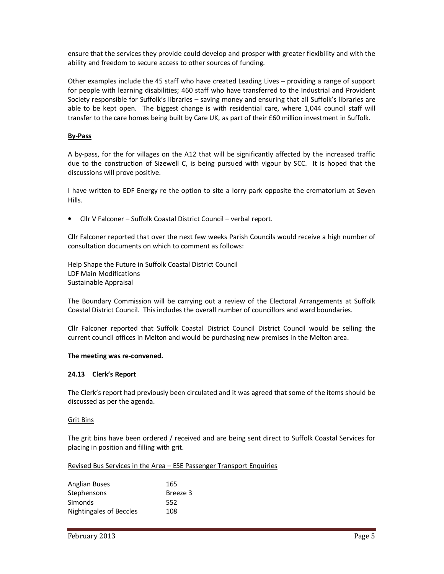ensure that the services they provide could develop and prosper with greater flexibility and with the ability and freedom to secure access to other sources of funding.

Other examples include the 45 staff who have created Leading Lives – providing a range of support for people with learning disabilities; 460 staff who have transferred to the Industrial and Provident Society responsible for Suffolk's libraries – saving money and ensuring that all Suffolk's libraries are able to be kept open. The biggest change is with residential care, where 1,044 council staff will transfer to the care homes being built by Care UK, as part of their £60 million investment in Suffolk.

### **By-Pass**

A by-pass, for the for villages on the A12 that will be significantly affected by the increased traffic due to the construction of Sizewell C, is being pursued with vigour by SCC. It is hoped that the discussions will prove positive.

I have written to EDF Energy re the option to site a lorry park opposite the crematorium at Seven Hills.

• Cllr V Falconer – Suffolk Coastal District Council – verbal report.

Cllr Falconer reported that over the next few weeks Parish Councils would receive a high number of consultation documents on which to comment as follows:

Help Shape the Future in Suffolk Coastal District Council LDF Main Modifications Sustainable Appraisal

The Boundary Commission will be carrying out a review of the Electoral Arrangements at Suffolk Coastal District Council. This includes the overall number of councillors and ward boundaries.

Cllr Falconer reported that Suffolk Coastal District Council District Council would be selling the current council offices in Melton and would be purchasing new premises in the Melton area.

#### **The meeting was re-convened.**

#### **24.13 Clerk's Report**

The Clerk's report had previously been circulated and it was agreed that some of the items should be discussed as per the agenda.

#### Grit Bins

The grit bins have been ordered / received and are being sent direct to Suffolk Coastal Services for placing in position and filling with grit.

### Revised Bus Services in the Area – ESE Passenger Transport Enquiries

| <b>Anglian Buses</b>    | 165      |
|-------------------------|----------|
| Stephensons             | Breeze 3 |
| Simonds                 | 552      |
| Nightingales of Beccles | 108      |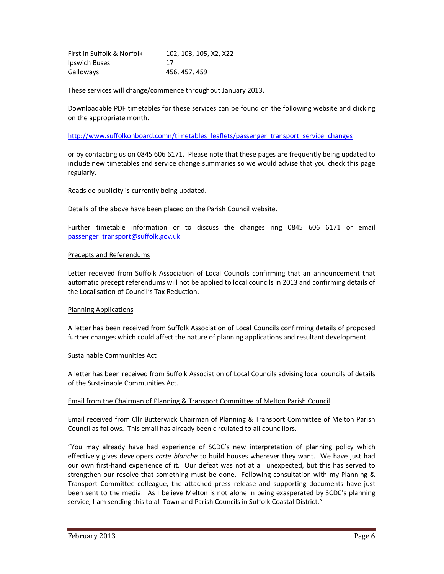| First in Suffolk & Norfolk | 102, 103, 105, X2, X22 |
|----------------------------|------------------------|
| Ipswich Buses              | 17                     |
| Galloways                  | 456, 457, 459          |

These services will change/commence throughout January 2013.

Downloadable PDF timetables for these services can be found on the following website and clicking on the appropriate month.

http://www.suffolkonboard.comn/timetables\_leaflets/passenger\_transport\_service\_changes

or by contacting us on 0845 606 6171. Please note that these pages are frequently being updated to include new timetables and service change summaries so we would advise that you check this page regularly.

Roadside publicity is currently being updated.

Details of the above have been placed on the Parish Council website.

Further timetable information or to discuss the changes ring 0845 606 6171 or email passenger\_transport@suffolk.gov.uk

### Precepts and Referendums

Letter received from Suffolk Association of Local Councils confirming that an announcement that automatic precept referendums will not be applied to local councils in 2013 and confirming details of the Localisation of Council's Tax Reduction.

#### Planning Applications

A letter has been received from Suffolk Association of Local Councils confirming details of proposed further changes which could affect the nature of planning applications and resultant development.

#### Sustainable Communities Act

A letter has been received from Suffolk Association of Local Councils advising local councils of details of the Sustainable Communities Act.

#### Email from the Chairman of Planning & Transport Committee of Melton Parish Council

Email received from Cllr Butterwick Chairman of Planning & Transport Committee of Melton Parish Council as follows. This email has already been circulated to all councillors.

"You may already have had experience of SCDC's new interpretation of planning policy which effectively gives developers *carte blanche* to build houses wherever they want. We have just had our own first-hand experience of it. Our defeat was not at all unexpected, but this has served to strengthen our resolve that something must be done. Following consultation with my Planning & Transport Committee colleague, the attached press release and supporting documents have just been sent to the media. As I believe Melton is not alone in being exasperated by SCDC's planning service, I am sending this to all Town and Parish Councils in Suffolk Coastal District."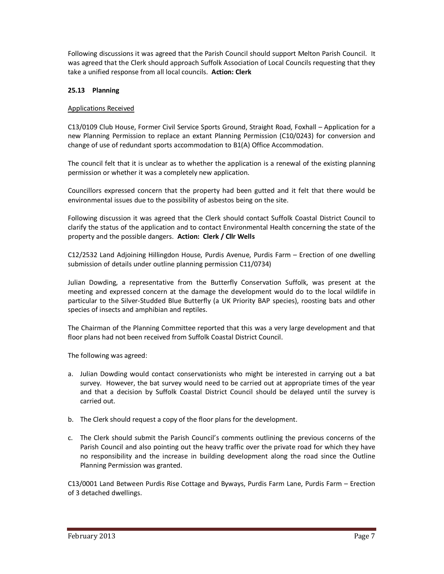Following discussions it was agreed that the Parish Council should support Melton Parish Council. It was agreed that the Clerk should approach Suffolk Association of Local Councils requesting that they take a unified response from all local councils. **Action: Clerk** 

# **25.13 Planning**

# Applications Received

C13/0109 Club House, Former Civil Service Sports Ground, Straight Road, Foxhall – Application for a new Planning Permission to replace an extant Planning Permission (C10/0243) for conversion and change of use of redundant sports accommodation to B1(A) Office Accommodation.

The council felt that it is unclear as to whether the application is a renewal of the existing planning permission or whether it was a completely new application.

Councillors expressed concern that the property had been gutted and it felt that there would be environmental issues due to the possibility of asbestos being on the site.

Following discussion it was agreed that the Clerk should contact Suffolk Coastal District Council to clarify the status of the application and to contact Environmental Health concerning the state of the property and the possible dangers. **Action: Clerk / Cllr Wells** 

C12/2532 Land Adjoining Hillingdon House, Purdis Avenue, Purdis Farm – Erection of one dwelling submission of details under outline planning permission C11/0734)

Julian Dowding, a representative from the Butterfly Conservation Suffolk, was present at the meeting and expressed concern at the damage the development would do to the local wildlife in particular to the Silver-Studded Blue Butterfly (a UK Priority BAP species), roosting bats and other species of insects and amphibian and reptiles.

The Chairman of the Planning Committee reported that this was a very large development and that floor plans had not been received from Suffolk Coastal District Council.

The following was agreed:

- a. Julian Dowding would contact conservationists who might be interested in carrying out a bat survey. However, the bat survey would need to be carried out at appropriate times of the year and that a decision by Suffolk Coastal District Council should be delayed until the survey is carried out.
- b. The Clerk should request a copy of the floor plans for the development.
- c. The Clerk should submit the Parish Council's comments outlining the previous concerns of the Parish Council and also pointing out the heavy traffic over the private road for which they have no responsibility and the increase in building development along the road since the Outline Planning Permission was granted.

C13/0001 Land Between Purdis Rise Cottage and Byways, Purdis Farm Lane, Purdis Farm – Erection of 3 detached dwellings.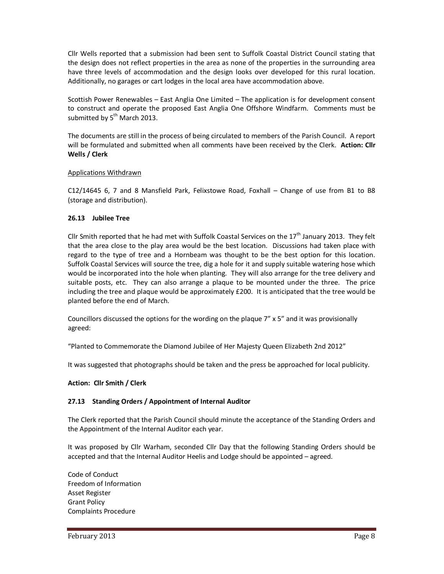Cllr Wells reported that a submission had been sent to Suffolk Coastal District Council stating that the design does not reflect properties in the area as none of the properties in the surrounding area have three levels of accommodation and the design looks over developed for this rural location. Additionally, no garages or cart lodges in the local area have accommodation above.

Scottish Power Renewables – East Anglia One Limited – The application is for development consent to construct and operate the proposed East Anglia One Offshore Windfarm. Comments must be submitted by  $5<sup>th</sup>$  March 2013.

The documents are still in the process of being circulated to members of the Parish Council. A report will be formulated and submitted when all comments have been received by the Clerk. **Action: Cllr Wells / Clerk** 

### Applications Withdrawn

C12/14645 6, 7 and 8 Mansfield Park, Felixstowe Road, Foxhall – Change of use from B1 to B8 (storage and distribution).

### **26.13 Jubilee Tree**

Cllr Smith reported that he had met with Suffolk Coastal Services on the  $17<sup>th</sup>$  January 2013. They felt that the area close to the play area would be the best location. Discussions had taken place with regard to the type of tree and a Hornbeam was thought to be the best option for this location. Suffolk Coastal Services will source the tree, dig a hole for it and supply suitable watering hose which would be incorporated into the hole when planting. They will also arrange for the tree delivery and suitable posts, etc. They can also arrange a plaque to be mounted under the three. The price including the tree and plaque would be approximately £200. It is anticipated that the tree would be planted before the end of March.

Councillors discussed the options for the wording on the plaque 7" x 5" and it was provisionally agreed:

"Planted to Commemorate the Diamond Jubilee of Her Majesty Queen Elizabeth 2nd 2012"

It was suggested that photographs should be taken and the press be approached for local publicity.

## **Action: Cllr Smith / Clerk**

## **27.13 Standing Orders / Appointment of Internal Auditor**

The Clerk reported that the Parish Council should minute the acceptance of the Standing Orders and the Appointment of the Internal Auditor each year.

It was proposed by Cllr Warham, seconded Cllr Day that the following Standing Orders should be accepted and that the Internal Auditor Heelis and Lodge should be appointed – agreed.

Code of Conduct Freedom of Information Asset Register Grant Policy Complaints Procedure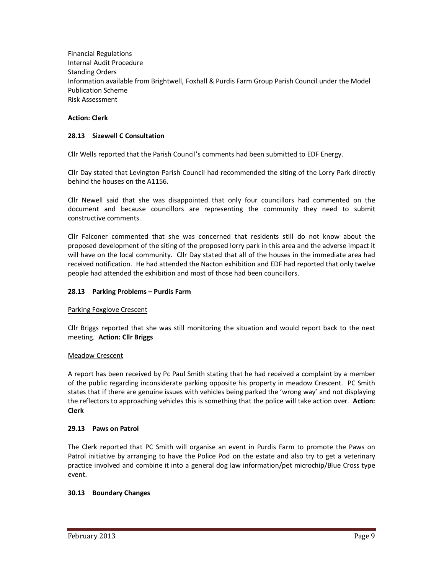Financial Regulations Internal Audit Procedure Standing Orders Information available from Brightwell, Foxhall & Purdis Farm Group Parish Council under the Model Publication Scheme Risk Assessment

## **Action: Clerk**

### **28.13 Sizewell C Consultation**

Cllr Wells reported that the Parish Council's comments had been submitted to EDF Energy.

Cllr Day stated that Levington Parish Council had recommended the siting of the Lorry Park directly behind the houses on the A1156.

Cllr Newell said that she was disappointed that only four councillors had commented on the document and because councillors are representing the community they need to submit constructive comments.

Cllr Falconer commented that she was concerned that residents still do not know about the proposed development of the siting of the proposed lorry park in this area and the adverse impact it will have on the local community. Cllr Day stated that all of the houses in the immediate area had received notification. He had attended the Nacton exhibition and EDF had reported that only twelve people had attended the exhibition and most of those had been councillors.

#### **28.13 Parking Problems – Purdis Farm**

#### Parking Foxglove Crescent

Cllr Briggs reported that she was still monitoring the situation and would report back to the next meeting. **Action: Cllr Briggs**

#### Meadow Crescent

A report has been received by Pc Paul Smith stating that he had received a complaint by a member of the public regarding inconsiderate parking opposite his property in meadow Crescent. PC Smith states that if there are genuine issues with vehicles being parked the 'wrong way' and not displaying the reflectors to approaching vehicles this is something that the police will take action over. **Action: Clerk** 

#### **29.13 Paws on Patrol**

The Clerk reported that PC Smith will organise an event in Purdis Farm to promote the Paws on Patrol initiative by arranging to have the Police Pod on the estate and also try to get a veterinary practice involved and combine it into a general dog law information/pet microchip/Blue Cross type event.

#### **30.13 Boundary Changes**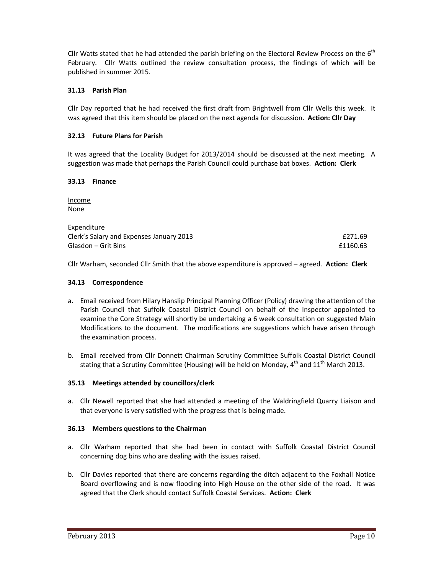Cllr Watts stated that he had attended the parish briefing on the Electoral Review Process on the 6<sup>th</sup> February. Cllr Watts outlined the review consultation process, the findings of which will be published in summer 2015.

# **31.13 Parish Plan**

Cllr Day reported that he had received the first draft from Brightwell from Cllr Wells this week. It was agreed that this item should be placed on the next agenda for discussion. **Action: Cllr Day** 

# **32.13 Future Plans for Parish**

It was agreed that the Locality Budget for 2013/2014 should be discussed at the next meeting. A suggestion was made that perhaps the Parish Council could purchase bat boxes. **Action: Clerk**

### **33.13 Finance**

Income None

| Expenditure                              |          |
|------------------------------------------|----------|
| Clerk's Salary and Expenses January 2013 | £271.69  |
| Glasdon – Grit Bins                      | £1160.63 |

Cllr Warham, seconded Cllr Smith that the above expenditure is approved – agreed. **Action: Clerk** 

## **34.13 Correspondence**

- a. Email received from Hilary Hanslip Principal Planning Officer (Policy) drawing the attention of the Parish Council that Suffolk Coastal District Council on behalf of the Inspector appointed to examine the Core Strategy will shortly be undertaking a 6 week consultation on suggested Main Modifications to the document. The modifications are suggestions which have arisen through the examination process.
- b. Email received from Cllr Donnett Chairman Scrutiny Committee Suffolk Coastal District Council stating that a Scrutiny Committee (Housing) will be held on Monday,  $4^{th}$  and  $11^{th}$  March 2013.

## **35.13 Meetings attended by councillors/clerk**

a. Cllr Newell reported that she had attended a meeting of the Waldringfield Quarry Liaison and that everyone is very satisfied with the progress that is being made.

## **36.13 Members questions to the Chairman**

- a. Cllr Warham reported that she had been in contact with Suffolk Coastal District Council concerning dog bins who are dealing with the issues raised.
- b. Cllr Davies reported that there are concerns regarding the ditch adjacent to the Foxhall Notice Board overflowing and is now flooding into High House on the other side of the road. It was agreed that the Clerk should contact Suffolk Coastal Services. **Action: Clerk**